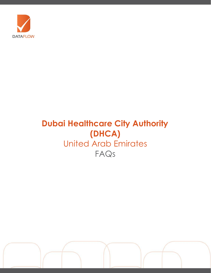

# **Dubai Healthcare City Authority (DHCA)** United Arab Emirates FAQs

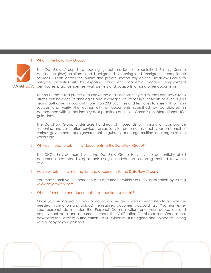#### 1. What is the DataFlow Group?



The DataFlow Group is a leading global provider of specialized Primary Source Verification (PSV) solutions, and background screening and immigration compliance services. Clients across the public and private sectors rely on the DataFlow Group to mitigate potential risk by exposing fraudulent academic degrees, employment certificates, practice licenses, work permits and passports, among other documents.

To ensure that hired professionals have the qualifications they claim, the DataFlow Group utilizes cutting-edge technologies and leverages an expansive network of over 60,000 issuing authorities throughout more than 200 countries and territories to liaise with primary sources and verify the authenticity of documents submitted by candidates, in accordance with global industry best practices and Joint Commission International (JCI) guidelines.

The DataFlow Group undertakes hundreds of thousands of immigration compliance screening and verification service transactions for professionals each year on behalf of various government, quasigovernment, regulatory and large multinational organizations worldwide.

# 2. Why do I need to submit my documents to the DataFlow Group?

The DHCA has partnered with the DataFlow Group to verify the authenticity of all documents presented by applicants using an advanced screening method known as PSV.

# 3. How do I submit my information and documents to the DataFlow Group?

You may submit your information and documents within your PSV application by visiting [www.dfgateway.com.](http://www.dfgateway.com/)

#### 4. What information and documents am I required to submit?

Once you are logged into your account, you will be guided at each step to provide the needed information and upload the required documents accordingly. You must enter your personal data under the Personal Details section and your education and employment data and documents under the Verification Details section. Once done, download the Letter of Authorization (LoA) - which must be signed and uploaded - along with a copy of your passport.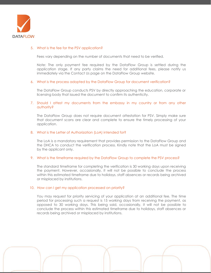

#### 5. What is the fee for the PSV application?

Fees vary depending on the number of documents that need to be verified.

Note: The only payment fee required by the DataFlow Group is settled during the application stage. If any party claims the need for additional fees, please notify us immediately via the Contact Us page on the DataFlow Group website.

#### 6. What is the process adopted by the DataFlow Group for document verification?

The DataFlow Group conducts PSV by directly approaching the education, corporate or licensing body that issued the document to confirm its authenticity.

## 7. Should I attest my documents from the embassy in my country or from any other authority?

The DataFlow Group does not require document attestation for PSV. Simply make sure that document scans are clear and complete to ensure the timely processing of your application.

#### 8. What is the Letter of Authorization (LoA) intended for?

The LoA is a mandatory requirement that provides permission to the DataFlow Group and the DHCA to conduct the verification process. Kindly note that the LoA must be signed by the applicant only.

#### 9. What is the timeframe required by the DataFlow Group to complete the PSV process?

The standard timeframe for completing the verification is 30 working days upon receiving the payment. However, occasionally, it will not be possible to conclude the process within this estimated timeframe due to holidays, staff absences or records being archived or misplaced by institutions.

#### 10. How can I get my application processed on priority?

You may request for priority servicing of your application at an additional fee. The time period for processing such a request is 15 working days from receiving the payment, as opposed to 30 working days. This being said, occasionally, it will not be possible to conclude the process within this estimated timeframe due to holidays, staff absences or records being archived or misplaced by institutions.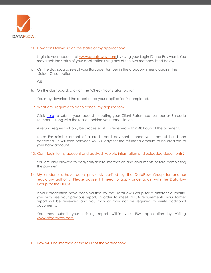

# 11. How can I follow up on the status of my application?

Login to your account at [www.dfgateway.com](http://www.dfgateway.com/) by using your Login ID and Password. You may track the status of your application using any of the two methods listed below:

a. On the dashboard, select your Barcode Number in the dropdown menu against the 'Select Case' option

OR

b. On the dashboard, click on the 'Check Your Status' option

You may download the report once your application is completed.

#### 12. What am I required to do to cancel my application?

Click [here](https://corp.dataflowgroup.com/faq.html) to submit your request - quoting your Client Reference Number or Barcode Number - along with the reason behind your cancellation.

A refund request will only be processed if it is received within 48 hours of the payment.

Note: For reimbursement of a credit card payment - once your request has been accepted - it will take between 45 - 60 days for the refunded amount to be credited to your bank account.

#### 13. Can I login to my account and add/edit/delete information and uploaded documents?

You are only allowed to add/edit/delete information and documents before completing the payment.

# 14. My credentials have been previously verified by the DataFlow Group for another regulatory authority. Please advise if I need to apply once again with the DataFlow Group for the DHCA.

If your credentials have been verified by the DataFlow Group for a different authority, you may use your previous report. In order to meet DHCA requirements, your former report will be reviewed and you may or may not be required to verify additional documents.

You may submit your existing report within your PSV application by visiting [www.dfgateway.com.](http://www.dfgateway.com/)

#### 15. How will I be informed of the result of the verification?